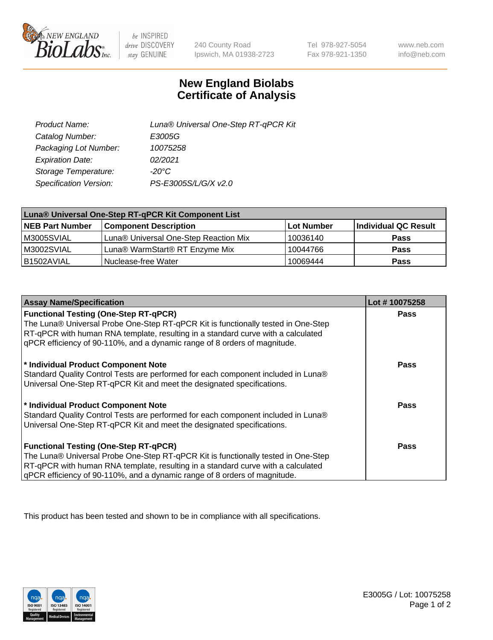

 $be$  INSPIRED drive DISCOVERY stay GENUINE

240 County Road Ipswich, MA 01938-2723

Tel 978-927-5054 Fax 978-921-1350

www.neb.com info@neb.com

## **New England Biolabs Certificate of Analysis**

| Product Name:           | Luna® Universal One-Step RT-qPCR Kit |
|-------------------------|--------------------------------------|
| Catalog Number:         | E3005G                               |
| Packaging Lot Number:   | 10075258                             |
| <b>Expiration Date:</b> | 02/2021                              |
| Storage Temperature:    | $-20^{\circ}$ C                      |
| Specification Version:  | PS-E3005S/L/G/X v2.0                 |

| Luna® Universal One-Step RT-qPCR Kit Component List |                                       |            |                      |  |
|-----------------------------------------------------|---------------------------------------|------------|----------------------|--|
| <b>NEB Part Number</b>                              | <b>Component Description</b>          | Lot Number | Individual QC Result |  |
| M3005SVIAL                                          | Luna® Universal One-Step Reaction Mix | 10036140   | <b>Pass</b>          |  |
| M3002SVIAL                                          | Luna® WarmStart® RT Enzyme Mix        | 10044766   | <b>Pass</b>          |  |
| B1502AVIAL                                          | Nuclease-free Water                   | 10069444   | <b>Pass</b>          |  |

| <b>Assay Name/Specification</b>                                                                                                                               | Lot #10075258 |
|---------------------------------------------------------------------------------------------------------------------------------------------------------------|---------------|
| <b>Functional Testing (One-Step RT-qPCR)</b>                                                                                                                  | <b>Pass</b>   |
| The Luna® Universal Probe One-Step RT-qPCR Kit is functionally tested in One-Step                                                                             |               |
| RT-qPCR with human RNA template, resulting in a standard curve with a calculated<br>gPCR efficiency of 90-110%, and a dynamic range of 8 orders of magnitude. |               |
|                                                                                                                                                               |               |
| * Individual Product Component Note                                                                                                                           | Pass          |
| Standard Quality Control Tests are performed for each component included in Luna®                                                                             |               |
| Universal One-Step RT-qPCR Kit and meet the designated specifications.                                                                                        |               |
| * Individual Product Component Note                                                                                                                           | Pass          |
| Standard Quality Control Tests are performed for each component included in Luna®                                                                             |               |
| Universal One-Step RT-qPCR Kit and meet the designated specifications.                                                                                        |               |
|                                                                                                                                                               |               |
| <b>Functional Testing (One-Step RT-qPCR)</b>                                                                                                                  | <b>Pass</b>   |
| The Luna® Universal Probe One-Step RT-qPCR Kit is functionally tested in One-Step                                                                             |               |
| RT-qPCR with human RNA template, resulting in a standard curve with a calculated                                                                              |               |
| gPCR efficiency of 90-110%, and a dynamic range of 8 orders of magnitude.                                                                                     |               |

This product has been tested and shown to be in compliance with all specifications.